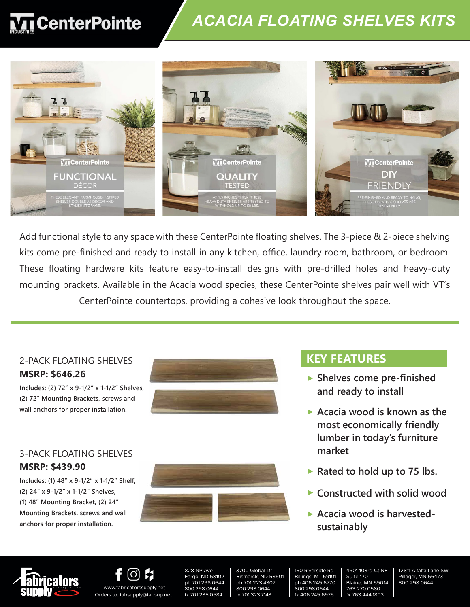# **T**CenterPointe

### *ACACIA FLOATING SHELVES KITS*



ege ContenDeinte fleeting shell are center of the nouting short kits come pre-finished and ready to install in any kitchen, office, laundry room, bathroom, or bedroom. to-install design with pre-drilled holes asy-to-mstan designs with mounting brackets. Available in the Acacia wood species, these CenterPointe shelves pair well with VT's these CenterPointe shelves pair well , providing a conesive look th Add functional style to any space with these CenterPointe floating shelves. The 3-piece & 2-piece shelving This 3 piece shelving kit comes preagus to install designs with a These floating hardware kits feature easy-to-install designs with pre-drilled holes and heavy-duty and a heavy-duty mounting bracket. CenterPointe countertops, providing a cohesive look throughout the space.

with VT's CenterPointe countertops, which I will be controlled by the counterpoint of the counter of the count

#### **2-Pack Floating Shelves Sizes: MSRP: \$646.26** 3-Pack Floating Shelves 2-PACK FLOATING SHELVES

 **length x depth x thickness Includes: (2) 72" x 9-1/2" x 1-1/2" Shelves,**  (2) 72" Mounting Brackets, screws and  **length x depth x thickness wall anchors for proper installation.**

#### 3-PACK FLOATING SHELVES  $\mathbf{h}$   $\mathbf{h}$   $\mathbf{h}$   $\mathbf{h}$   $\mathbf{h}$   $\mathbf{h}$ **one: 48" x 9.5" x 1.5" MSRP: \$439.90**

**Mounting Brackets, screws and wall** <br> **Mounting Brackets, screws and wall includes: (1) 48" x 9-1/2" x 1-1/2" length x depth x thickness Includes: (1) 48" x 9-1/2" x 1-1/2" Shelf, one: 48" x 9.5" x 1.5" (2) 24" x 9-1/2" x 1-1/2" Shelves, two: 24" x 9.5" x 1.5" (1) 48" Mounting Bracket, (2) 24" anchors for proper installation.** 



the space.



### **KEY FEATURES**

- **Shelves come pre-finished and ready to install**
- **Acacia wood is known as the most economically friendly lumber in today's furniture market**
- ▶ Rated to hold up to 75 lbs.
- **Constructed with solid wood**
- **Acacia wood is harvestedsustainably**





www.fabricatorssupply.net Orders to: fabsupply@fabsup.net 828 NP Ave Fargo, ND 58102 ph 701.298.0644 800.298.0644 fx 701.235.0584

3700 Global Dr Bismarck, ND 58501 ph 701.223.4307 800.298.0644 fx 701.323.7143

130 Riverside Rd Billings, MT 59101 ph 406.245.6770 800.298.0644 fx 406.245.6975

4501 103rd Ct NE Suite 170 Blaine, MN 55014 763.270.0580 fx 763.444.1803

12811 Alfalfa Lane SW Pillager, MN 56473 800.298.0644